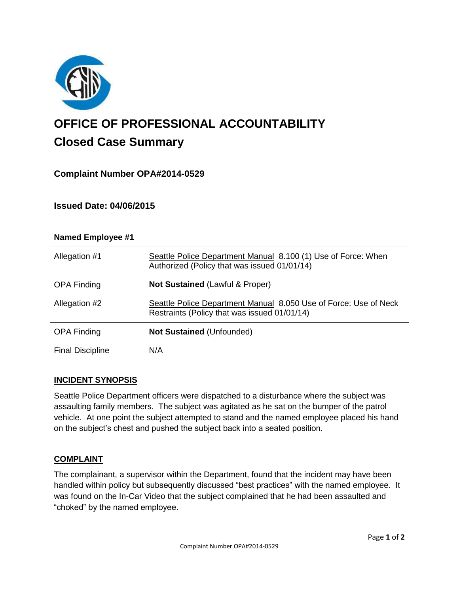

# **OFFICE OF PROFESSIONAL ACCOUNTABILITY Closed Case Summary**

## **Complaint Number OPA#2014-0529**

## **Issued Date: 04/06/2015**

| Named Employee #1       |                                                                                                                  |
|-------------------------|------------------------------------------------------------------------------------------------------------------|
| Allegation #1           | Seattle Police Department Manual 8.100 (1) Use of Force: When<br>Authorized (Policy that was issued 01/01/14)    |
| <b>OPA Finding</b>      | <b>Not Sustained (Lawful &amp; Proper)</b>                                                                       |
| Allegation #2           | Seattle Police Department Manual 8.050 Use of Force: Use of Neck<br>Restraints (Policy that was issued 01/01/14) |
| <b>OPA Finding</b>      | <b>Not Sustained (Unfounded)</b>                                                                                 |
| <b>Final Discipline</b> | N/A                                                                                                              |

## **INCIDENT SYNOPSIS**

Seattle Police Department officers were dispatched to a disturbance where the subject was assaulting family members. The subject was agitated as he sat on the bumper of the patrol vehicle. At one point the subject attempted to stand and the named employee placed his hand on the subject's chest and pushed the subject back into a seated position.

## **COMPLAINT**

The complainant, a supervisor within the Department, found that the incident may have been handled within policy but subsequently discussed "best practices" with the named employee. It was found on the In-Car Video that the subject complained that he had been assaulted and "choked" by the named employee.